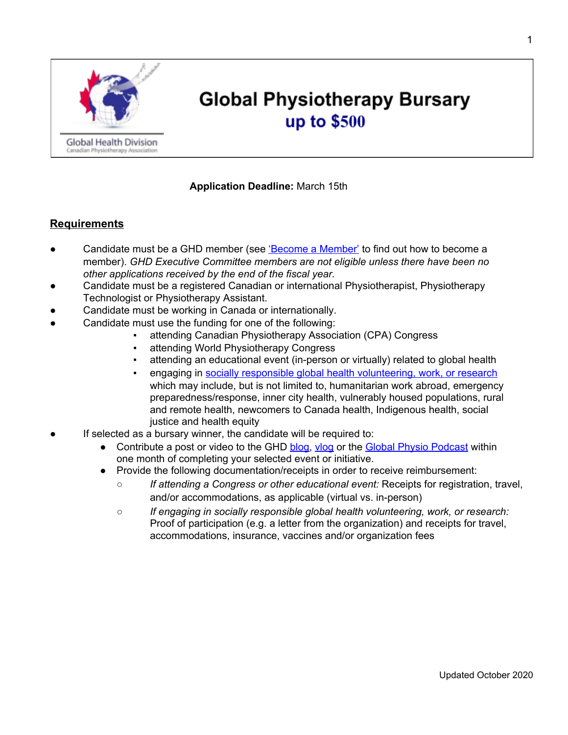

# **Global Physiotherapy Bursary** up to \$500

## **Application Deadline:** March 15th

## **Requirements**

- *●* Candidate must be a GHD member (see ['Become a Member'](https://physiotherapy.ca/divisions/global-health-division) to find out how to become a member). *GHD Executive Committee members are not eligible unless there have been no other applications received by the end of the fiscal year.*
- Candidate must be a registered Canadian or international Physiotherapist, Physiotherapy Technologist or Physiotherapy Assistant.
- Candidate must be working in Canada or internationally.
- Candidate must use the funding for one of the following:
	- attending Canadian Physiotherapy Association (CPA) Congress
		- attending World Physiotherapy Congress
		- attending an educational event (in-person or virtually) related to global health
		- engaging in [socially responsible global health volunteering, work, or research](https://physiotherapy.ca/socially-responsible-global-health-work) which may include, but is not limited to, humanitarian work abroad, emergency preparedness/response, inner city health, vulnerably housed populations, rural and remote health, newcomers to Canada health, Indigenous health, social justice and health equity
- If selected as a bursary winner, the candidate will be required to:
	- Contribute a post or video to the GHD [blog,](https://physiotherapy.ca/global-health-blog-0) [vlog](https://physiotherapy.ca/vlog) [o](https://physiotherapy.ca/vlog)r the [Global Physio Podcast](http://globalphysio.ca/) [w](http://globalphysio.ca/)ithin one month of completing your selected event or initiative.
	- Provide the following documentation/receipts in order to receive reimbursement:
		- *If attending a Congress or other educational event:* Receipts for registration, travel, and/or accommodations, as applicable (virtual vs. in-person)
		- *If engaging in socially responsible global health volunteering, work, or research:* Proof of participation (e.g. a letter from the organization) and receipts for travel, accommodations, insurance, vaccines and/or organization fees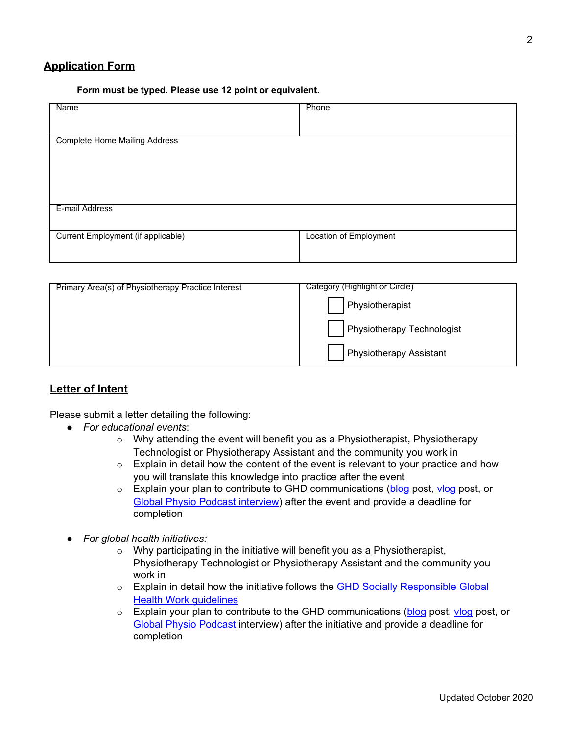## **Application Form**

#### **Form must be typed. Please use 12 point or equivalent.**

| Name                                 | Phone                  |
|--------------------------------------|------------------------|
|                                      |                        |
|                                      |                        |
|                                      |                        |
| <b>Complete Home Mailing Address</b> |                        |
|                                      |                        |
|                                      |                        |
|                                      |                        |
|                                      |                        |
|                                      |                        |
|                                      |                        |
|                                      |                        |
| E-mail Address                       |                        |
|                                      |                        |
|                                      |                        |
|                                      |                        |
| Current Employment (if applicable)   | Location of Employment |
|                                      |                        |
|                                      |                        |
|                                      |                        |

| Primary Area(s) of Physiotherapy Practice Interest | Category (Highlight or Circle)    |
|----------------------------------------------------|-----------------------------------|
|                                                    | Physiotherapist                   |
|                                                    | <b>Physiotherapy Technologist</b> |
|                                                    | <b>Physiotherapy Assistant</b>    |

## **Letter of Intent**

Please submit a letter detailing the following:

- *For educational events*:
	- $\circ$  Why attending the event will benefit you as a Physiotherapist, Physiotherapy Technologist or Physiotherapy Assistant and the community you work in
	- o Explain in detail how the content of the event is relevant to your practice and how you will translate this knowledge into practice after the event
	- o Explain your plan to contribute to GHD communications [\(blog](https://physiotherapy.ca/global-health-blog-0) post[,](https://physiotherapy.ca/vlog) ylog post, or [Global Physio Podcast interview\)](http://globalphysio.ca/) after the event and provide a deadline for completion
- *● For global health initiatives:*
	- o Why participating in the initiative will benefit you as a Physiotherapist, Physiotherapy Technologist or Physiotherapy Assistant and the community you work in
	- o Explain in detail how the initiative follows the **[GHD Socially Responsible Global](https://physiotherapy.ca/socially-responsible-global-health-work) [Health Work guidelines](https://physiotherapy.ca/socially-responsible-global-health-work)**
	- $\circ$  Explain your plan to contribute to the GHD communications [\(blog](https://physiotherapy.ca/global-health-blog-0) [p](https://physiotherapy.ca/vlog)ost, [vlog](https://physiotherapy.ca/vlog) post, or [Global Physio Podcast](http://globalphysio.ca/) interview) after the initiative and provide a deadline for completion